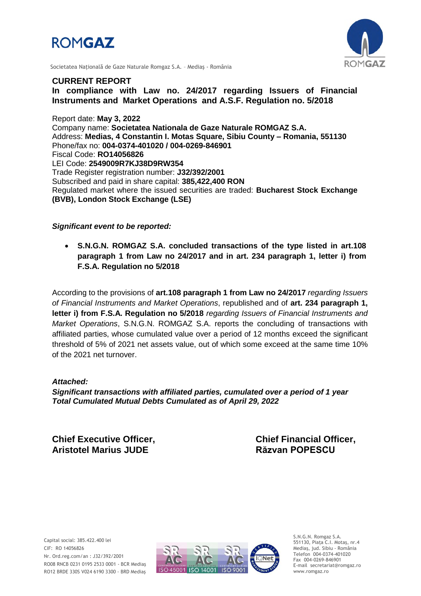



Societatea Naţională de Gaze Naturale Romgaz S.A. – Mediaş - România

#### **CURRENT REPORT**

**In compliance with Law no. 24/2017 regarding Issuers of Financial Instruments and Market Operations and A.S.F. Regulation no. 5/2018**

Report date: **May 3, 2022** Company name: **Societatea Nationala de Gaze Naturale ROMGAZ S.A.** Address: **Medias, 4 Constantin I. Motas Square, Sibiu County – Romania, 551130** Phone/fax no: **004-0374-401020 / 004-0269-846901** Fiscal Code: **RO14056826** LEI Code: **2549009R7KJ38D9RW354** Trade Register registration number: **J32/392/2001** Subscribed and paid in share capital: **385,422,400 RON** Regulated market where the issued securities are traded: **Bucharest Stock Exchange (BVB), London Stock Exchange (LSE)**

### *Significant event to be reported:*

 **S.N.G.N. ROMGAZ S.A. concluded transactions of the type listed in art.108 paragraph 1 from Law no 24/2017 and in art. 234 paragraph 1, letter i) from F.S.A. Regulation no 5/2018**

According to the provisions of **art.108 paragraph 1 from Law no 24/2017** *regarding Issuers of Financial Instruments and Market Operations*, republished and of **art. 234 paragraph 1, letter i) from F.S.A. Regulation no 5/2018** *regarding Issuers of Financial Instruments and Market Operations*, S.N.G.N. ROMGAZ S.A. reports the concluding of transactions with affiliated parties, whose cumulated value over a period of 12 months exceed the significant threshold of 5% of 2021 net assets value, out of which some exceed at the same time 10% of the 2021 net turnover.

#### *Attached:*

*Significant transactions with affiliated parties, cumulated over a period of 1 year Total Cumulated Mutual Debts Cumulated as of April 29, 2022*

**Aristotel Marius JUDE Răzvan POPESCU**

**Chief Executive Officer, Chief Financial Officer,**



S.N.G.N. Romgaz S.A. 551130, Piața C.I. Motaş, nr.4 Mediaş, jud. Sibiu - România Telefon 004-0374-401020 Fax 004-0269-846901 E-mail secretariat@romgaz.ro www.romgaz.ro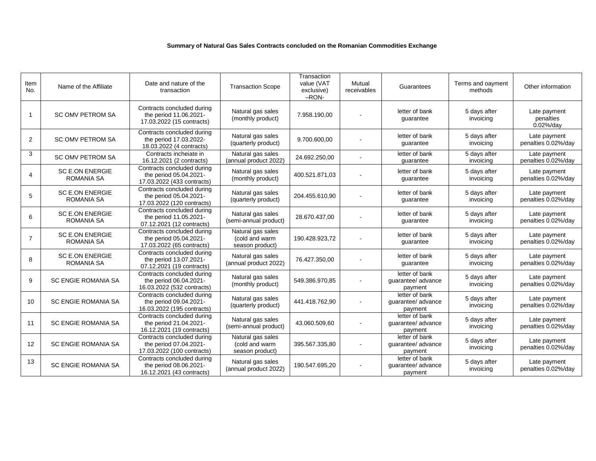#### **Summary of Natural Gas Sales Contracts concluded on the Romanian Commodities Exchange**

| Item<br>No.    | Name of the Affiliate                       | Date and nature of the<br>transaction                                              | <b>Transaction Scope</b>                               | Transaction<br>value (VAT<br>exclusive)<br>$-$ RON- | Mutual<br>receivables        | Guarantees                                      | Terms and oayment<br>methods | Other information                      |
|----------------|---------------------------------------------|------------------------------------------------------------------------------------|--------------------------------------------------------|-----------------------------------------------------|------------------------------|-------------------------------------------------|------------------------------|----------------------------------------|
| $\overline{1}$ | <b>SC OMV PETROM SA</b>                     | Contracts concluded during<br>the period 11.06.2021-<br>17.03.2022 (15 contracts)  | Natural gas sales<br>(monthly product)                 | 7.958.190.00                                        |                              | letter of bank<br>guarantee                     | 5 days after<br>invoicing    | Late payment<br>penalties<br>0.02%/day |
| 2              | <b>SC OMV PETROM SA</b>                     | Contracts concluded during<br>the period 17.03.2022-<br>18.03.2022 (4 contracts)   | Natural gas sales<br>(quarterly product)               | 9.700.600,00                                        |                              | letter of bank<br>quarantee                     | 5 days after<br>invoicing    | Late payment<br>penalties 0.02%/day    |
| 3              | <b>SC OMV PETROM SA</b>                     | Contracts incheiate in<br>16.12.2021 (2 contracts)                                 | Natural gas sales<br>(annual product 2022)             | 24.692.250,00                                       |                              | letter of bank<br>quarantee                     | 5 days after<br>invoicing    | Late payment<br>penalties 0.02%/day    |
| 4              | <b>SC E.ON ENERGIE</b><br><b>ROMANIA SA</b> | Contracts concluded during<br>the period 05.04.2021-<br>17.03.2022 (433 contracts) | Natural gas sales<br>(monthly product)                 | 400.521.871,03                                      |                              | letter of bank<br>guarantee                     | 5 days after<br>invoicing    | Late payment<br>penalties 0.02%/day    |
| 5              | <b>SC E.ON ENERGIE</b><br><b>ROMANIA SA</b> | Contracts concluded during<br>the period 05.04.2021-<br>17.03.2022 (120 contracts) | Natural gas sales<br>(quarterly product)               | 204.455.610,90                                      |                              | letter of bank<br>guarantee                     | 5 days after<br>invoicing    | Late payment<br>penalties 0.02%/day    |
| 6              | <b>SC E.ON ENERGIE</b><br><b>ROMANIA SA</b> | Contracts concluded during<br>the period 11.05.2021-<br>07.12.2021 (12 contracts)  | Natural gas sales<br>(semi-annual product)             | 28.670.437,00                                       |                              | letter of bank<br>guarantee                     | 5 days after<br>invoicing    | Late payment<br>penalties 0.02%/day    |
| $\overline{7}$ | <b>SC E.ON ENERGIE</b><br><b>ROMANIA SA</b> | Contracts concluded during<br>the period 05.04.2021-<br>17.03.2022 (65 contracts)  | Natural gas sales<br>(cold and warm<br>season product) | 190.428.923,72                                      |                              | letter of bank<br>guarantee                     | 5 days after<br>invoicing    | Late payment<br>penalties 0.02%/day    |
| 8              | <b>SC E.ON ENERGIE</b><br><b>ROMANIA SA</b> | Contracts concluded during<br>the period 13.07.2021-<br>07.12.2021 (19 contracts)  | Natural gas sales<br>(annual product 2022)             | 76.427.350,00                                       |                              | letter of bank<br>guarantee                     | 5 days after<br>invoicing    | Late payment<br>penalties 0.02%/day    |
| 9              | <b>SC ENGIE ROMANIA SA</b>                  | Contracts concluded during<br>the period 06.04.2021-<br>16.03.2022 (532 contracts) | Natural gas sales<br>(monthly product)                 | 549.386.970,85                                      |                              | letter of bank<br>guarantee/ advance<br>payment | 5 days after<br>invoicing    | Late payment<br>penalties 0.02%/day    |
| 10             | <b>SC ENGIE ROMANIA SA</b>                  | Contracts concluded during<br>the period 09.04.2021-<br>16.03.2022 (195 contracts) | Natural gas sales<br>(quarterly product)               | 441.418.762.90                                      | $\qquad \qquad \blacksquare$ | letter of bank<br>quarantee/ advance<br>payment | 5 days after<br>invoicing    | Late payment<br>penalties 0.02%/day    |
| 11             | <b>SC ENGIE ROMANIA SA</b>                  | Contracts concluded during<br>the period 21.04.2021-<br>16.12.2021 (19 contracts)  | Natural gas sales<br>(semi-annual product)             | 43.060.509,60                                       |                              | letter of bank<br>quarantee/ advance<br>payment | 5 days after<br>invoicing    | Late payment<br>penalties 0.02%/day    |
| 12             | <b>SC ENGIE ROMANIA SA</b>                  | Contracts concluded during<br>the period 07.04.2021-<br>17.03.2022 (100 contracts) | Natural gas sales<br>(cold and warm<br>season product) | 395.567.335,80                                      |                              | letter of bank<br>quarantee/ advance<br>payment | 5 days after<br>invoicing    | Late payment<br>penalties 0.02%/day    |
| 13             | <b>SC ENGIE ROMANIA SA</b>                  | Contracts concluded during<br>the period 08.06.2021-<br>16.12.2021 (43 contracts)  | Natural gas sales<br>(annual product 2022)             | 190.547.695,20                                      |                              | letter of bank<br>guarantee/ advance<br>payment | 5 days after<br>invoicing    | Late payment<br>penalties 0.02%/day    |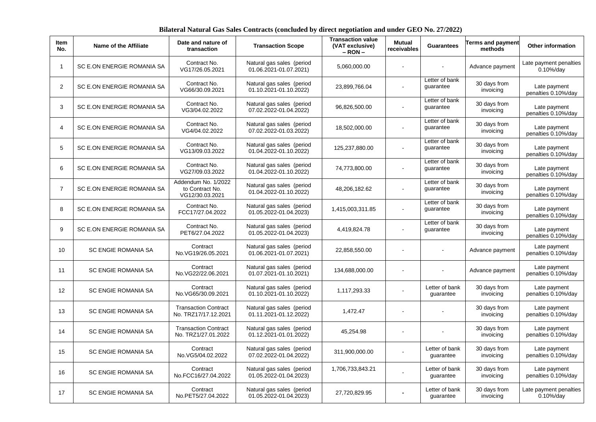**Bilateral Natural Gas Sales Contracts (concluded by direct negotiation and under GEO No. 27/2022)**

| Item<br>No.    | Name of the Affiliate      | Date and nature of<br>transaction                         | <b>Transaction Scope</b>                            | <b>Transaction value</b><br>(VAT exclusive)<br>$-$ RON $-$ | <b>Mutual</b><br>receivables | <b>Guarantees</b>           | <b>Terms and payment</b><br>methods | <b>Other information</b>                |
|----------------|----------------------------|-----------------------------------------------------------|-----------------------------------------------------|------------------------------------------------------------|------------------------------|-----------------------------|-------------------------------------|-----------------------------------------|
| -1             | SC E.ON ENERGIE ROMANIA SA | Contract No.<br>VG17/26.05.2021                           | Natural gas sales (period<br>01.06.2021-01.07.2021) | 5,060,000.00                                               |                              |                             | Advance payment                     | Late payment penalties<br>$0.10\%$ /day |
| 2              | SC E.ON ENERGIE ROMANIA SA | Contract No.<br>VG66/30.09.2021                           | Natural gas sales (period<br>01.10.2021-01.10.2022) | 23,899,766.04                                              | $\sim$                       | Letter of bank<br>guarantee | 30 days from<br>invoicing           | Late payment<br>penalties 0.10%/day     |
| 3              | SC E.ON ENERGIE ROMANIA SA | Contract No.<br>VG3/04.02.2022                            | Natural gas sales (period<br>07.02.2022-01.04.2022) | 96,826,500.00                                              |                              | Letter of bank<br>guarantee | 30 days from<br>invoicing           | Late payment<br>penalties 0.10%/day     |
| $\overline{4}$ | SC E.ON ENERGIE ROMANIA SA | Contract No.<br>VG4/04.02.2022                            | Natural gas sales (period<br>07.02.2022-01.03.2022) | 18,502,000.00                                              | $\blacksquare$               | Letter of bank<br>guarantee | 30 days from<br>invoicing           | Late payment<br>penalties 0.10%/day     |
| 5              | SC E.ON ENERGIE ROMANIA SA | Contract No.<br>VG13/09.03.2022                           | Natural gas sales (period<br>01.04.2022-01.10.2022) | 125,237,880.00                                             | $\blacksquare$               | Letter of bank<br>guarantee | 30 days from<br>invoicing           | Late payment<br>penalties 0.10%/day     |
| 6              | SC E.ON ENERGIE ROMANIA SA | Contract No.<br>VG27/09.03.2022                           | Natural gas sales (period<br>01.04.2022-01.10.2022) | 74,773,800.00                                              | $\sim$                       | Letter of bank<br>guarantee | 30 days from<br>invoicing           | Late payment<br>penalties 0.10%/day     |
| $\overline{7}$ | SC E.ON ENERGIE ROMANIA SA | Addendum No. 1/2022<br>to Contract No.<br>VG12/30.03.2021 | Natural gas sales (period<br>01.04.2022-01.10.2022) | 48,206,182.62                                              | $\sim$                       | Letter of bank<br>guarantee | 30 days from<br>invoicing           | Late payment<br>penalties 0.10%/day     |
| 8              | SC E.ON ENERGIE ROMANIA SA | Contract No.<br>FCC17/27.04.2022                          | Natural gas sales (period<br>01.05.2022-01.04.2023) | 1,415,003,311.85                                           | $\sim$                       | Letter of bank<br>guarantee | 30 days from<br>invoicing           | Late payment<br>penalties 0.10%/day     |
| 9              | SC E.ON ENERGIE ROMANIA SA | Contract No.<br>PET6/27.04.2022                           | Natural gas sales (period<br>01.05.2022-01.04.2023) | 4,419,824.78                                               |                              | Letter of bank<br>guarantee | 30 days from<br>invoicing           | Late payment<br>penalties 0.10%/day     |
| 10             | <b>SC ENGIE ROMANIA SA</b> | Contract<br>No.VG19/26.05.2021                            | Natural gas sales (period<br>01.06.2021-01.07.2021) | 22,858,550.00                                              |                              |                             | Advance payment                     | Late payment<br>penalties 0.10%/day     |
| 11             | SC ENGIE ROMANIA SA        | Contract<br>No.VG22/22.06.2021                            | Natural gas sales (period<br>01.07.2021-01.10.2021) | 134,688,000.00                                             | $\sim$                       |                             | Advance payment                     | Late payment<br>penalties 0.10%/day     |
| 12             | SC ENGIE ROMANIA SA        | Contract<br>No.VG65/30.09.2021                            | Natural gas sales (period<br>01.10.2021-01.10.2022) | 1,117,293.33                                               |                              | Letter of bank<br>guarantee | 30 days from<br>invoicing           | Late payment<br>penalties 0.10%/day     |
| 13             | <b>SC ENGIE ROMANIA SA</b> | <b>Transaction Contract</b><br>No. TRZ17/17.12.2021       | Natural gas sales (period<br>01.11.2021-01.12.2022) | 1,472.47                                                   |                              |                             | 30 days from<br>invoicing           | Late payment<br>penalties 0.10%/day     |
| 14             | <b>SC ENGIE ROMANIA SA</b> | <b>Transaction Contract</b><br>No. TRZ1/27.01.2022        | Natural gas sales (period<br>01.12.2021-01.01.2022) | 45,254.98                                                  |                              |                             | 30 days from<br>invoicing           | Late payment<br>penalties 0.10%/day     |
| 15             | SC ENGIE ROMANIA SA        | Contract<br>No.VG5/04.02.2022                             | Natural gas sales (period<br>07.02.2022-01.04.2022) | 311,900,000.00                                             |                              | Letter of bank<br>guarantee | 30 days from<br>invoicing           | Late payment<br>penalties 0.10%/day     |
| 16             | <b>SC ENGIE ROMANIA SA</b> | Contract<br>No.FCC16/27.04.2022                           | Natural gas sales (period<br>01.05.2022-01.04.2023) | 1,706,733,843.21                                           |                              | Letter of bank<br>guarantee | 30 days from<br>invoicing           | Late payment<br>penalties 0.10%/day     |
| 17             | <b>SC ENGIE ROMANIA SA</b> | Contract<br>No.PET5/27.04.2022                            | Natural gas sales (period<br>01.05.2022-01.04.2023) | 27,720,829.95                                              |                              | Letter of bank<br>guarantee | 30 days from<br>invoicing           | Late payment penalties<br>$0.10\%$ /day |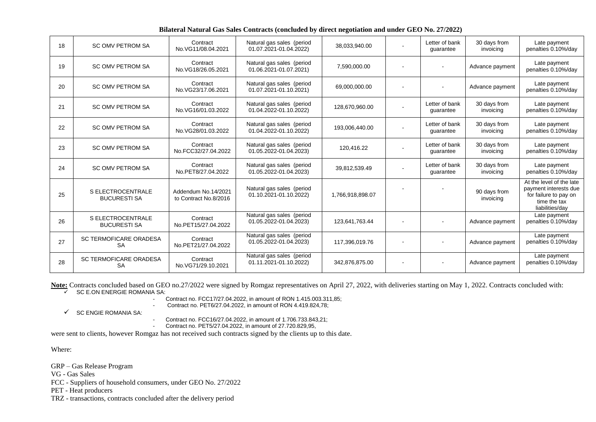| 18 | <b>SC OMV PETROM SA</b>                         | Contract<br>No.VG11/08.04.2021               | Natural gas sales (period<br>01.07.2021-01.04.2022) | 38,033,940.00    | Letter of bank<br>quarantee | 30 days from<br>invoicing | Late payment<br>penalties 0.10%/day                                                                           |
|----|-------------------------------------------------|----------------------------------------------|-----------------------------------------------------|------------------|-----------------------------|---------------------------|---------------------------------------------------------------------------------------------------------------|
| 19 | <b>SC OMV PETROM SA</b>                         | Contract<br>No.VG18/26.05.2021               | Natural gas sales (period<br>01.06.2021-01.07.2021) | 7,590,000.00     |                             | Advance payment           | Late payment<br>penalties 0.10%/day                                                                           |
| 20 | <b>SC OMV PETROM SA</b>                         | Contract<br>No.VG23/17.06.2021               | Natural gas sales (period<br>01.07.2021-01.10.2021) | 69,000,000.00    |                             | Advance payment           | Late payment<br>penalties 0.10%/day                                                                           |
| 21 | <b>SC OMV PETROM SA</b>                         | Contract<br>No.VG16/01.03.2022               | Natural gas sales (period<br>01.04.2022-01.10.2022) | 128,670,960.00   | Letter of bank<br>guarantee | 30 days from<br>invoicing | Late payment<br>penalties 0.10%/day                                                                           |
| 22 | <b>SC OMV PETROM SA</b>                         | Contract<br>No.VG28/01.03.2022               | Natural gas sales (period<br>01.04.2022-01.10.2022) | 193,006,440.00   | Letter of bank<br>quarantee | 30 days from<br>invoicing | Late payment<br>penalties 0.10%/day                                                                           |
| 23 | <b>SC OMV PETROM SA</b>                         | Contract<br>No.FCC32/27.04.2022              | Natural gas sales (period<br>01.05.2022-01.04.2023) | 120,416.22       | Letter of bank<br>quarantee | 30 days from<br>invoicing | Late payment<br>penalties 0.10%/day                                                                           |
| 24 | <b>SC OMV PETROM SA</b>                         | Contract<br>No.PET8/27.04.2022               | Natural gas sales (period<br>01.05.2022-01.04.2023) | 39,812,539.49    | Letter of bank<br>quarantee | 30 days from<br>invoicing | Late payment<br>penalties 0.10%/day                                                                           |
| 25 | S ELECTROCENTRALE<br><b>BUCURESTI SA</b>        | Addendum No.14/2021<br>to Contract No.8/2016 | Natural gas sales (period<br>01.10.2021-01.10.2022) | 1,766,918,898.07 |                             | 90 days from<br>invoicing | At the level of the late<br>payment interests due<br>for failure to pay on<br>time the tax<br>liabilities/day |
| 26 | <b>S ELECTROCENTRALE</b><br><b>BUCURESTI SA</b> | Contract<br>No.PET15/27.04.2022              | Natural gas sales (period<br>01.05.2022-01.04.2023) | 123,641,763.44   |                             | Advance payment           | Late payment<br>penalties 0.10%/day                                                                           |
| 27 | <b>SC TERMOFICARE ORADESA</b><br><b>SA</b>      | Contract<br>No.PET21/27.04.2022              | Natural gas sales (period<br>01.05.2022-01.04.2023) | 117,396,019.76   |                             | Advance payment           | Late payment<br>penalties 0.10%/day                                                                           |
| 28 | <b>SC TERMOFICARE ORADESA</b><br><b>SA</b>      | Contract<br>No.VG71/29.10.2021               | Natural gas sales (period<br>01.11.2021-01.10.2022) | 342,876,875.00   |                             | Advance payment           | Late payment<br>penalties 0.10%/day                                                                           |

Note: Contracts concluded based on GEO no.27/2022 were signed by Romgaz representatives on April 27, 2022, with deliveries starting on May 1, 2022. Contracts concluded with:<br>SC E ON ENERGIE ROMANIA SA:

SC E.ON ENERGIE ROMANIA SA:

- Contract no. FCC17/27.04.2022, in amount of RON 1.415.003.311,85;

- Contract no. PET6/27.04.2022, in amount of RON 4.419.824,78;

 $\checkmark$  SC ENGIE ROMANIA SA:

- Contract no. FCC16/27.04.2022, in amount of 1.706.733.843,21;

- Contract no. PET5/27.04.2022, in amount of 27.720.829,95,

were sent to clients, however Romgaz has not received such contracts signed by the clients up to this date.

Where:

GRP – Gas Release Program

VG - Gas Sales

FCC - Suppliers of household consumers, under GEO No. 27/2022

PET - Heat producers

TRZ - transactions, contracts concluded after the delivery period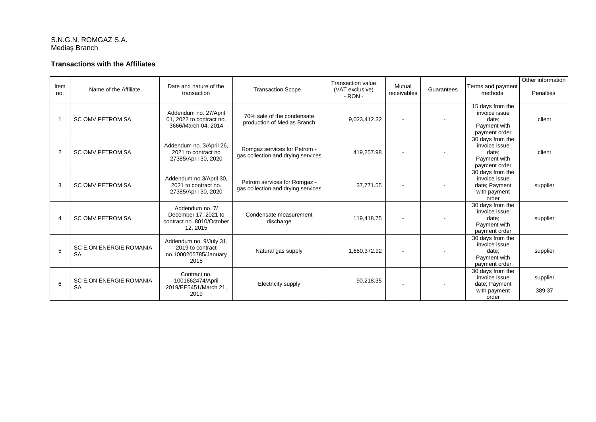### S.N.G.N. ROMGAZ S.A. Mediaş Branch

## **Transactions with the Affiliates**

| Item |                                | Date and nature of the                            |                                                           | <b>Transaction value</b>    | Mutual      |            | Terms and payment                 | Other information |
|------|--------------------------------|---------------------------------------------------|-----------------------------------------------------------|-----------------------------|-------------|------------|-----------------------------------|-------------------|
| no.  | Name of the Affiliate          | transaction                                       | <b>Transaction Scope</b>                                  | (VAT exclusive)<br>$-RON -$ | receivables | Guarantees | methods                           | Penalties         |
|      |                                | Addendum no. 27/April                             |                                                           |                             |             |            | 15 days from the<br>invoice issue |                   |
|      | <b>SC OMV PETROM SA</b>        | 01, 2022 to contract no.                          | 70% sale of the condensate<br>production of Medias Branch | 9,023,412.32                | $\sim$      |            | date:                             | client            |
|      |                                | 3666/March 04, 2014                               |                                                           |                             |             |            | Payment with<br>payment order     |                   |
|      |                                |                                                   |                                                           |                             |             |            | 30 days from the                  |                   |
|      | <b>SC OMV PETROM SA</b>        | Addendum no. 3/April 26,<br>2021 to contract no   | Romgaz services for Petrom -                              |                             |             |            | invoice issue                     |                   |
| 2    |                                | 27385/April 30, 2020                              | gas collection and drying services                        | 419,257.98                  |             |            | date:<br>Payment with             | client            |
|      |                                |                                                   |                                                           |                             |             |            | payment order                     |                   |
|      |                                | Addendum no.3/April 30,                           |                                                           |                             |             |            | 30 days from the<br>invoice issue |                   |
| 3    | <b>SC OMV PETROM SA</b>        | 2021 to contract no.                              | Petrom services for Romgaz -                              | 37.771.55                   | $\sim$      |            | date; Payment                     | supplier          |
|      |                                | 27385/April 30, 2020                              | gas collection and drying services                        |                             |             |            | with payment                      |                   |
|      |                                |                                                   |                                                           |                             |             |            | order<br>30 days from the         |                   |
|      |                                | Addendum no. 7/                                   |                                                           |                             |             |            | invoice issue                     |                   |
|      | <b>SC OMV PETROM SA</b>        | December 17, 2021 to<br>contract no. 8010/October | Condensate measurement<br>discharge                       | 119,418.75                  |             |            | date:                             | supplier          |
|      |                                | 12, 2015                                          |                                                           |                             |             |            | Payment with                      |                   |
|      |                                |                                                   |                                                           |                             |             |            | payment order<br>30 days from the |                   |
|      | <b>SC E.ON ENERGIE ROMANIA</b> | Addendum no. 9/July 31,<br>2019 to contract       |                                                           |                             |             |            | invoice issue                     |                   |
| 5    | <b>SA</b>                      | no.1000205785/January                             | Natural gas supply                                        | 1,680,372.92                | $\sim$      |            | date:                             | supplier          |
|      |                                | 2015                                              |                                                           |                             |             |            | Payment with<br>payment order     |                   |
|      |                                | Contract no.                                      |                                                           |                             |             |            | 30 days from the                  |                   |
|      | <b>SC E.ON ENERGIE ROMANIA</b> | 1001662474/April                                  |                                                           | 90,218.35                   |             |            | invoice issue                     | supplier          |
| 6    | <b>SA</b>                      | 2019/EE5451/March 21,                             | Electricity supply                                        |                             |             |            | date; Payment<br>with payment     | 389.37            |
|      |                                | 2019                                              |                                                           |                             |             |            | order                             |                   |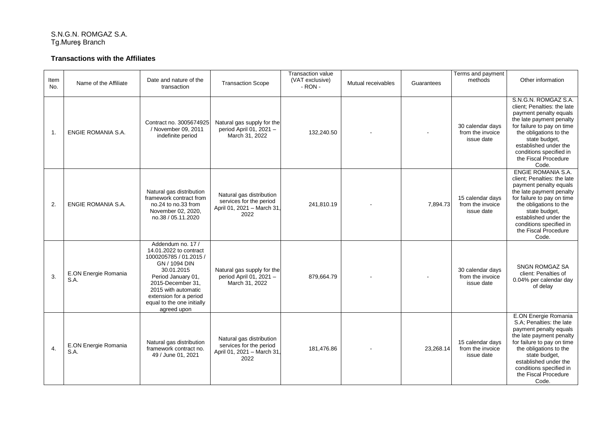#### S.N.G.N. ROMGAZ S.A. Tg.Mureş Branch

## **Transactions with the Affiliates**

| Item<br>No.      | Name of the Affiliate        | Date and nature of the<br>transaction                                                                                                                                                                                                         | <b>Transaction Scope</b>                                                                 | <b>Transaction value</b><br>(VAT exclusive)<br>$-RON -$ | Mutual receivables | Guarantees | Terms and payment<br>methods                       | Other information                                                                                                                                                                                                                                                       |
|------------------|------------------------------|-----------------------------------------------------------------------------------------------------------------------------------------------------------------------------------------------------------------------------------------------|------------------------------------------------------------------------------------------|---------------------------------------------------------|--------------------|------------|----------------------------------------------------|-------------------------------------------------------------------------------------------------------------------------------------------------------------------------------------------------------------------------------------------------------------------------|
| $\mathbf{1}$ .   | ENGIE ROMANIA S.A.           | Contract no. 3005674925<br>/ November 09, 2011<br>indefinite period                                                                                                                                                                           | Natural gas supply for the<br>period April 01, 2021 -<br>March 31, 2022                  | 132,240.50                                              |                    |            | 30 calendar days<br>from the invoice<br>issue date | S.N.G.N. ROMGAZ S.A.<br>client; Penalties: the late<br>payment penalty equals<br>the late payment penalty<br>for failure to pay on time<br>the obligations to the<br>state budget,<br>established under the<br>conditions specified in<br>the Fiscal Procedure<br>Code. |
| 2.               | ENGIE ROMANIA S.A.           | Natural gas distribution<br>framework contract from<br>no.24 to no.33 from<br>November 02, 2020,<br>no.38 / 05.11.2020                                                                                                                        | Natural gas distribution<br>services for the period<br>April 01, 2021 - March 31<br>2022 | 241,810.19                                              |                    | 7,894.73   | 15 calendar days<br>from the invoice<br>issue date | ENGIE ROMANIA S.A.<br>client; Penalties: the late<br>payment penalty equals<br>the late payment penalty<br>for failure to pay on time<br>the obligations to the<br>state budget,<br>established under the<br>conditions specified in<br>the Fiscal Procedure<br>Code.   |
| 3.               | E.ON Energie Romania<br>S.A. | Addendum no. 17 /<br>14.01.2022 to contract<br>1000205785 / 01.2015 /<br>GN / 1094 DIN<br>30.01.2015<br>Period January 01,<br>2015-December 31.<br>2015 with automatic<br>extension for a period<br>equal to the one initially<br>agreed upon | Natural gas supply for the<br>period April 01, 2021 -<br>March 31, 2022                  | 879,664.79                                              |                    |            | 30 calendar days<br>from the invoice<br>issue date | SNGN ROMGAZ SA<br>client: Penalties of<br>0.04% per calendar day<br>of delay                                                                                                                                                                                            |
| $\overline{4}$ . | E.ON Energie Romania<br>S.A. | Natural gas distribution<br>framework contract no.<br>49 / June 01, 2021                                                                                                                                                                      | Natural gas distribution<br>services for the period<br>April 01, 2021 - March 31<br>2022 | 181.476.86                                              |                    | 23,268.14  | 15 calendar days<br>from the invoice<br>issue date | E.ON Energie Romania<br>S.A; Penalties: the late<br>payment penalty equals<br>the late payment penalty<br>for failure to pay on time<br>the obligations to the<br>state budget,<br>established under the<br>conditions specified in<br>the Fiscal Procedure<br>Code.    |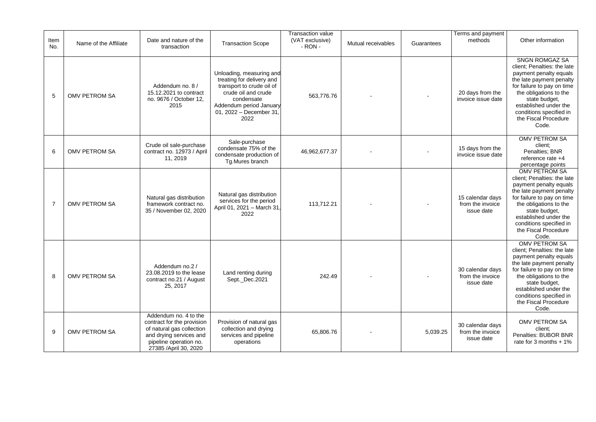| Item<br>No.    | Name of the Affiliate | Date and nature of the<br>transaction                                                                                                                           | <b>Transaction Scope</b>                                                                                                                                                             | <b>Transaction value</b><br>(VAT exclusive)<br>$-RON -$ | Mutual receivables | Guarantees | Terms and payment<br>methods                       | Other information                                                                                                                                                                                                                                                        |
|----------------|-----------------------|-----------------------------------------------------------------------------------------------------------------------------------------------------------------|--------------------------------------------------------------------------------------------------------------------------------------------------------------------------------------|---------------------------------------------------------|--------------------|------------|----------------------------------------------------|--------------------------------------------------------------------------------------------------------------------------------------------------------------------------------------------------------------------------------------------------------------------------|
| 5              | <b>OMV PETROM SA</b>  | Addendum no. 8 /<br>15.12.2021 to contract<br>no. 9676 / October 12,<br>2015                                                                                    | Unloading, measuring and<br>treating for delivery and<br>transport to crude oil of<br>crude oil and crude<br>condensate<br>Addendum period January<br>01, 2022 - December 31<br>2022 | 563,776.76                                              |                    |            | 20 days from the<br>invoice issue date             | <b>SNGN ROMGAZ SA</b><br>client; Penalties: the late<br>payment penalty equals<br>the late payment penalty<br>for failure to pay on time<br>the obligations to the<br>state budget,<br>established under the<br>conditions specified in<br>the Fiscal Procedure<br>Code. |
| 6              | <b>OMV PETROM SA</b>  | Crude oil sale-purchase<br>contract no. 12973 / April<br>11, 2019                                                                                               | Sale-purchase<br>condensate 75% of the<br>condensate production of<br>Tg.Mures branch                                                                                                | 46,962,677.37                                           |                    |            | 15 days from the<br>invoice issue date             | <b>OMV PETROM SA</b><br>client:<br>Penalties; BNR<br>reference rate +4<br>percentage points                                                                                                                                                                              |
| $\overline{7}$ | <b>OMV PETROM SA</b>  | Natural gas distribution<br>framework contract no.<br>35 / November 02, 2020                                                                                    | Natural gas distribution<br>services for the period<br>April 01, 2021 - March 31<br>2022                                                                                             | 113.712.21                                              |                    |            | 15 calendar days<br>from the invoice<br>issue date | <b>OMV PETROM SA</b><br>client; Penalties: the late<br>payment penalty equals<br>the late payment penalty<br>for failure to pay on time<br>the obligations to the<br>state budget,<br>established under the<br>conditions specified in<br>the Fiscal Procedure<br>Code.  |
| 8              | OMV PETROM SA         | Addendum no.2 /<br>23.08.2019 to the lease<br>contract no.21 / August<br>25, 2017                                                                               | Land renting during<br>Sept. Dec.2021                                                                                                                                                | 242.49                                                  |                    |            | 30 calendar days<br>from the invoice<br>issue date | <b>OMV PETROM SA</b><br>client; Penalties: the late<br>payment penalty equals<br>the late payment penalty<br>for failure to pay on time<br>the obligations to the<br>state budget,<br>established under the<br>conditions specified in<br>the Fiscal Procedure<br>Code.  |
| 9              | <b>OMV PETROM SA</b>  | Addendum no. 4 to the<br>contract for the provision<br>of natural gas collection<br>and drying services and<br>pipeline operation no.<br>27385 / April 30, 2020 | Provision of natural gas<br>collection and drying<br>services and pipeline<br>operations                                                                                             | 65,806.76                                               |                    | 5,039.25   | 30 calendar days<br>from the invoice<br>issue date | OMV PETROM SA<br>client;<br>Penalties: BUBOR BNR<br>rate for 3 months $+1\%$                                                                                                                                                                                             |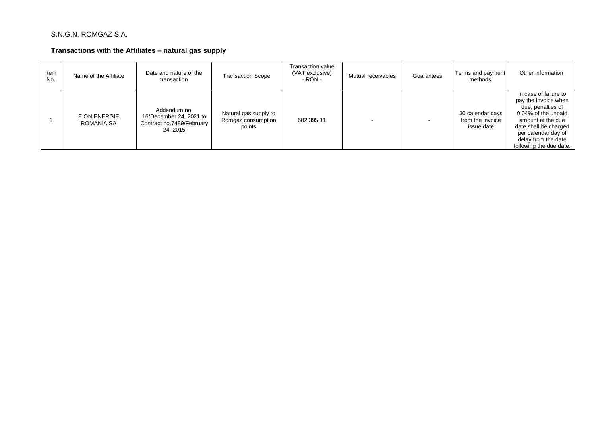## S.N.G.N. ROMGAZ S.A.

## **Transactions with the Affiliates – natural gas supply**

| Item<br>No. | Name of the Affiliate             | Date and nature of the<br>transaction                                            | Transaction Scope                                     | Transaction value<br>(VAT exclusive)<br>- RON - | Mutual receivables | Guarantees | Terms and payment<br>methods                       | Other information                                                                                                                                                                                                |
|-------------|-----------------------------------|----------------------------------------------------------------------------------|-------------------------------------------------------|-------------------------------------------------|--------------------|------------|----------------------------------------------------|------------------------------------------------------------------------------------------------------------------------------------------------------------------------------------------------------------------|
|             | <b>E.ON ENERGIE</b><br>ROMANIA SA | Addendum no.<br>16/December 24, 2021 to<br>Contract no.7489/February<br>24, 2015 | Natural gas supply to<br>Romgaz consumption<br>points | 682,395.11                                      |                    |            | 30 calendar days<br>from the invoice<br>issue date | In case of failure to<br>pay the invoice when<br>due, penalties of<br>0.04% of the unpaid<br>amount at the due<br>date shall be charged<br>per calendar day of<br>delay from the date<br>following the due date. |